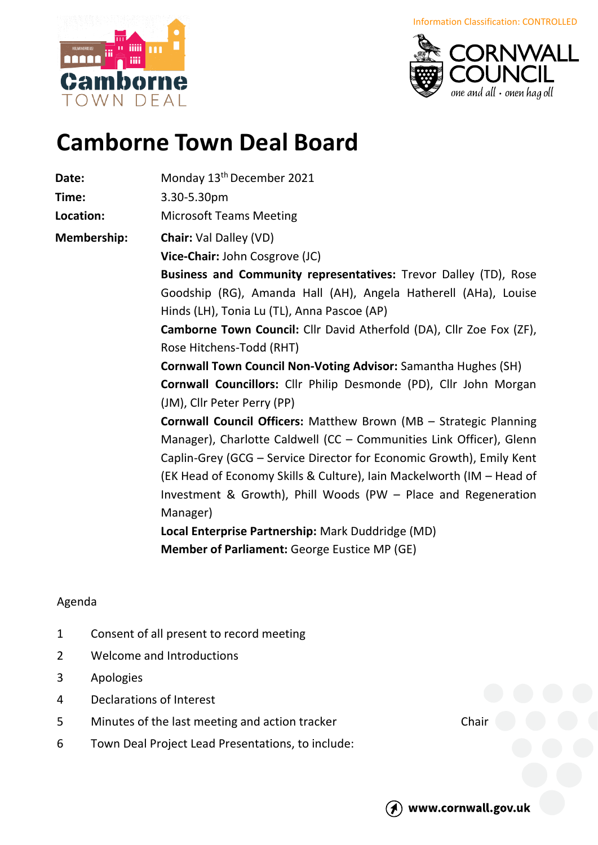borne OWN DFAI



## **Camborne Town Deal Board**

Date: Monday 13<sup>th</sup> December 2021

**Time:** 3.30-5.30pm

**Location:** Microsoft Teams Meeting

**Membership: Chair:** Val Dalley (VD)

**Vice-Chair:** John Cosgrove (JC)

**Business and Community representatives:** Trevor Dalley (TD), Rose Goodship (RG), Amanda Hall (AH), Angela Hatherell (AHa), Louise Hinds (LH), Tonia Lu (TL), Anna Pascoe (AP)

**Camborne Town Council:** Cllr David Atherfold (DA), Cllr Zoe Fox (ZF), Rose Hitchens-Todd (RHT)

**Cornwall Town Council Non-Voting Advisor:** Samantha Hughes (SH) **Cornwall Councillors:** Cllr Philip Desmonde (PD), Cllr John Morgan (JM), Cllr Peter Perry (PP)

**Cornwall Council Officers:** Matthew Brown (MB – Strategic Planning Manager), Charlotte Caldwell (CC – Communities Link Officer), Glenn Caplin-Grey (GCG – Service Director for Economic Growth), Emily Kent (EK Head of Economy Skills & Culture), Iain Mackelworth (IM – Head of Investment & Growth), Phill Woods (PW – Place and Regeneration Manager)

**Local Enterprise Partnership:** Mark Duddridge (MD) **Member of Parliament:** George Eustice MP (GE)

## Agenda

- 1 Consent of all present to record meeting
- 2 Welcome and Introductions
- 3 Apologies
- 4 Declarations of Interest
- 5 Minutes of the last meeting and action tracker Chair
- 6 Town Deal Project Lead Presentations, to include:



www.cornwall.gov.uk